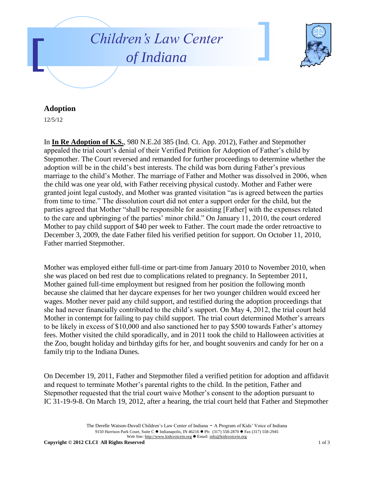



## **Adoption**

12/5/12

In **In Re Adoption of K.S.**, 980 N.E.2d 385 (Ind. Ct. App. 2012), Father and Stepmother appealed the trial court's denial of their Verified Petition for Adoption of Father's child by Stepmother. The Court reversed and remanded for further proceedings to determine whether the adoption will be in the child's best interests. The child was born during Father's previous marriage to the child's Mother. The marriage of Father and Mother was dissolved in 2006, when the child was one year old, with Father receiving physical custody. Mother and Father were granted joint legal custody, and Mother was granted visitation "as is agreed between the parties from time to time." The dissolution court did not enter a support order for the child, but the parties agreed that Mother "shall be responsible for assisting [Father] with the expenses related to the care and upbringing of the parties' minor child." On January 11, 2010, the court ordered Mother to pay child support of \$40 per week to Father. The court made the order retroactive to December 3, 2009, the date Father filed his verified petition for support. On October 11, 2010, Father married Stepmother.

Mother was employed either full-time or part-time from January 2010 to November 2010, when she was placed on bed rest due to complications related to pregnancy. In September 2011, Mother gained full-time employment but resigned from her position the following month because she claimed that her daycare expenses for her two younger children would exceed her wages. Mother never paid any child support, and testified during the adoption proceedings that she had never financially contributed to the child's support. On May 4, 2012, the trial court held Mother in contempt for failing to pay child support. The trial court determined Mother's arrears to be likely in excess of \$10,000 and also sanctioned her to pay \$500 towards Father's attorney fees. Mother visited the child sporadically, and in 2011 took the child to Halloween activities at the Zoo, bought holiday and birthday gifts for her, and bought souvenirs and candy for her on a family trip to the Indiana Dunes.

On December 19, 2011, Father and Stepmother filed a verified petition for adoption and affidavit and request to terminate Mother's parental rights to the child. In the petition, Father and Stepmother requested that the trial court waive Mother's consent to the adoption pursuant to IC 31-19-9-8. On March 19, 2012, after a hearing, the trial court held that Father and Stepmother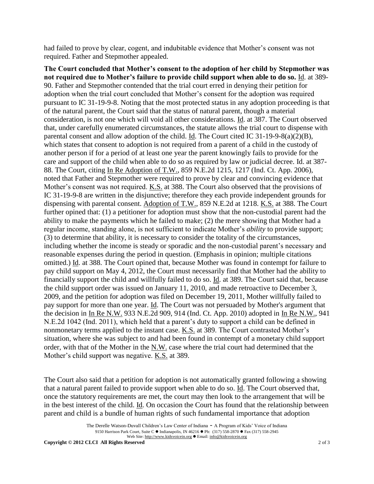had failed to prove by clear, cogent, and indubitable evidence that Mother's consent was not required. Father and Stepmother appealed.

**The Court concluded that Mother's consent to the adoption of her child by Stepmother was not required due to Mother's failure to provide child support when able to do so.** Id. at 389- 90. Father and Stepmother contended that the trial court erred in denying their petition for adoption when the trial court concluded that Mother's consent for the adoption was required pursuant to IC 31-19-9-8. Noting that the most protected status in any adoption proceeding is that of the natural parent, the Court said that the status of natural parent, though a material consideration, is not one which will void all other considerations. Id. at 387. The Court observed that, under carefully enumerated circumstances, the statute allows the trial court to dispense with parental consent and allow adoption of the child. Id. The Court cited IC 31-19-9-8(a)(2)(B), which states that consent to adoption is not required from a parent of a child in the custody of another person if for a period of at least one year the parent knowingly fails to provide for the care and support of the child when able to do so as required by law or judicial decree. Id. at 387- 88. The Court, citing In Re Adoption of T.W., 859 N.E.2d 1215, 1217 (Ind. Ct. App. 2006), noted that Father and Stepmother were required to prove by clear and convincing evidence that Mother's consent was not required. K.S. at 388. The Court also observed that the provisions of IC 31-19-9-8 are written in the disjunctive; therefore they each provide independent grounds for dispensing with parental consent. Adoption of T.W., 859 N.E.2d at 1218. K.S. at 388. The Court further opined that: (1) a petitioner for adoption must show that the non-custodial parent had the ability to make the payments which he failed to make; (2) the mere showing that Mother had a regular income, standing alone, is not sufficient to indicate Mother's *ability* to provide support; (3) to determine that ability, it is necessary to consider the totality of the circumstances, including whether the income is steady or sporadic and the non-custodial parent's necessary and reasonable expenses during the period in question. (Emphasis in opinion; multiple citations omitted.) Id. at 388. The Court opined that, because Mother was found in contempt for failure to pay child support on May 4, 2012, the Court must necessarily find that Mother had the ability to financially support the child and willfully failed to do so. Id. at 389. The Court said that, because the child support order was issued on January 11, 2010, and made retroactive to December 3, 2009, and the petition for adoption was filed on December 19, 2011, Mother willfully failed to pay support for more than one year. Id. The Court was not persuaded by Mother's argument that the decision in In Re N.W. 933 N.E.2d 909, 914 (Ind. Ct. App. 2010) adopted in In Re N.W., 941 N.E.2d 1042 (Ind. 2011), which held that a parent's duty to support a child can be defined in nonmonetary terms applied to the instant case. K.S. at 389. The Court contrasted Mother's situation, where she was subject to and had been found in contempt of a monetary child support order, with that of the Mother in the N.W. case where the trial court had determined that the Mother's child support was negative. K.S. at 389.

The Court also said that a petition for adoption is not automatically granted following a showing that a natural parent failed to provide support when able to do so. Id. The Court observed that, once the statutory requirements are met, the court may then look to the arrangement that will be in the best interest of the child. Id. On occasion the Court has found that the relationship between parent and child is a bundle of human rights of such fundamental importance that adoption

The Derelle Watson-Duvall Children's Law Center of Indiana - A Program of Kids' Voice of Indiana 9150 Harrison Park Court, Suite C · Indianapolis, IN 46216 · Ph: (317) 558-2870 · Fax (317) 558-2945 Web Site: http://www.kidsvoicein.org · Email: info@kidsvoicein.org